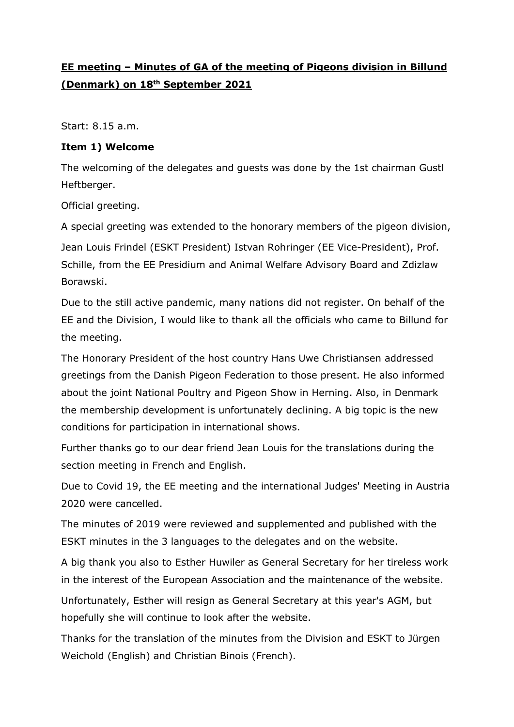## **EE meeting – Minutes of GA of the meeting of Pigeons division in Billund (Denmark) on 18th September 2021**

Start: 8.15 a.m.

#### **Item 1) Welcome**

The welcoming of the delegates and guests was done by the 1st chairman Gustl Heftberger.

Official greeting.

A special greeting was extended to the honorary members of the pigeon division, Jean Louis Frindel (ESKT President) Istvan Rohringer (EE Vice-President), Prof. Schille, from the EE Presidium and Animal Welfare Advisory Board and Zdizlaw Borawski.

Due to the still active pandemic, many nations did not register. On behalf of the EE and the Division, I would like to thank all the officials who came to Billund for the meeting.

The Honorary President of the host country Hans Uwe Christiansen addressed greetings from the Danish Pigeon Federation to those present. He also informed about the joint National Poultry and Pigeon Show in Herning. Also, in Denmark the membership development is unfortunately declining. A big topic is the new conditions for participation in international shows.

Further thanks go to our dear friend Jean Louis for the translations during the section meeting in French and English.

Due to Covid 19, the EE meeting and the international Judges' Meeting in Austria 2020 were cancelled.

The minutes of 2019 were reviewed and supplemented and published with the ESKT minutes in the 3 languages to the delegates and on the website.

A big thank you also to Esther Huwiler as General Secretary for her tireless work in the interest of the European Association and the maintenance of the website.

Unfortunately, Esther will resign as General Secretary at this year's AGM, but hopefully she will continue to look after the website.

Thanks for the translation of the minutes from the Division and ESKT to Jürgen Weichold (English) and Christian Binois (French).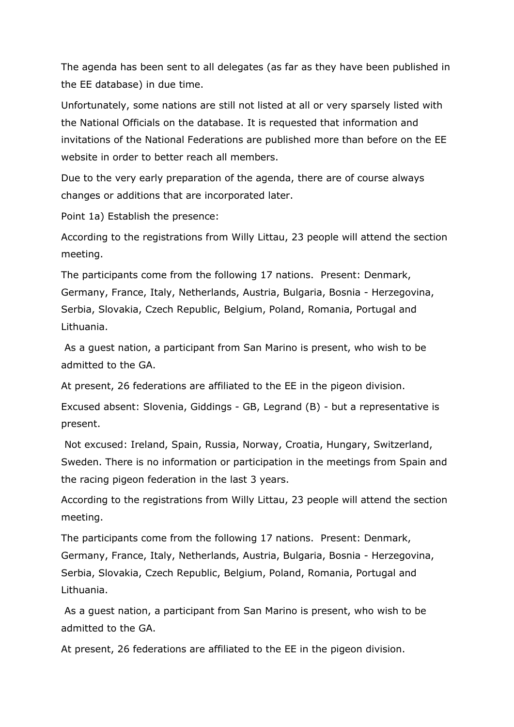The agenda has been sent to all delegates (as far as they have been published in the EE database) in due time.

Unfortunately, some nations are still not listed at all or very sparsely listed with the National Officials on the database. It is requested that information and invitations of the National Federations are published more than before on the EE website in order to better reach all members.

Due to the very early preparation of the agenda, there are of course always changes or additions that are incorporated later.

Point 1a) Establish the presence:

According to the registrations from Willy Littau, 23 people will attend the section meeting.

The participants come from the following 17 nations. Present: Denmark, Germany, France, Italy, Netherlands, Austria, Bulgaria, Bosnia - Herzegovina, Serbia, Slovakia, Czech Republic, Belgium, Poland, Romania, Portugal and Lithuania.

As a guest nation, a participant from San Marino is present, who wish to be admitted to the GA.

At present, 26 federations are affiliated to the EE in the pigeon division.

Excused absent: Slovenia, Giddings - GB, Legrand (B) - but a representative is present.

Not excused: Ireland, Spain, Russia, Norway, Croatia, Hungary, Switzerland, Sweden. There is no information or participation in the meetings from Spain and the racing pigeon federation in the last 3 years.

According to the registrations from Willy Littau, 23 people will attend the section meeting.

The participants come from the following 17 nations. Present: Denmark, Germany, France, Italy, Netherlands, Austria, Bulgaria, Bosnia - Herzegovina, Serbia, Slovakia, Czech Republic, Belgium, Poland, Romania, Portugal and Lithuania.

As a guest nation, a participant from San Marino is present, who wish to be admitted to the GA.

At present, 26 federations are affiliated to the EE in the pigeon division.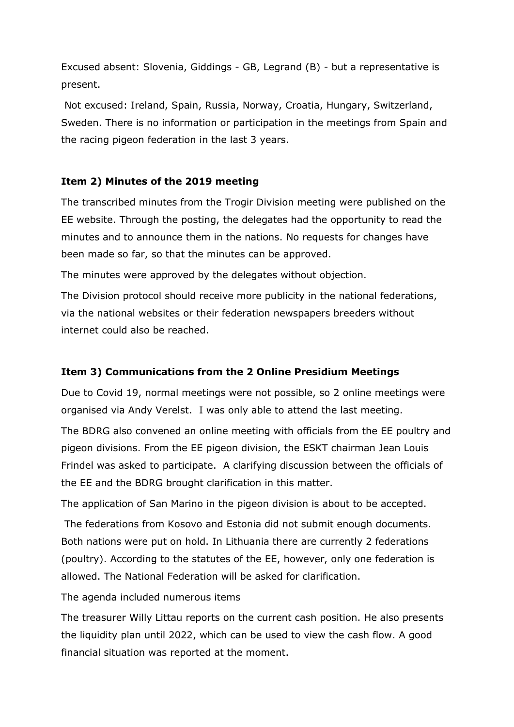Excused absent: Slovenia, Giddings - GB, Legrand (B) - but a representative is present.

Not excused: Ireland, Spain, Russia, Norway, Croatia, Hungary, Switzerland, Sweden. There is no information or participation in the meetings from Spain and the racing pigeon federation in the last 3 years.

### **Item 2) Minutes of the 2019 meeting**

The transcribed minutes from the Trogir Division meeting were published on the EE website. Through the posting, the delegates had the opportunity to read the minutes and to announce them in the nations. No requests for changes have been made so far, so that the minutes can be approved.

The minutes were approved by the delegates without objection.

The Division protocol should receive more publicity in the national federations, via the national websites or their federation newspapers breeders without internet could also be reached.

## **Item 3) Communications from the 2 Online Presidium Meetings**

Due to Covid 19, normal meetings were not possible, so 2 online meetings were organised via Andy Verelst. I was only able to attend the last meeting.

The BDRG also convened an online meeting with officials from the EE poultry and pigeon divisions. From the EE pigeon division, the ESKT chairman Jean Louis Frindel was asked to participate. A clarifying discussion between the officials of the EE and the BDRG brought clarification in this matter.

The application of San Marino in the pigeon division is about to be accepted.

The federations from Kosovo and Estonia did not submit enough documents. Both nations were put on hold. In Lithuania there are currently 2 federations (poultry). According to the statutes of the EE, however, only one federation is allowed. The National Federation will be asked for clarification.

The agenda included numerous items

The treasurer Willy Littau reports on the current cash position. He also presents the liquidity plan until 2022, which can be used to view the cash flow. A good financial situation was reported at the moment.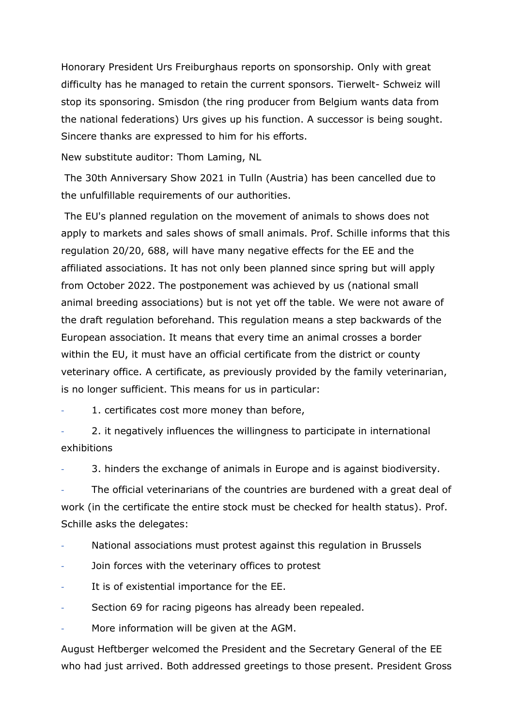Honorary President Urs Freiburghaus reports on sponsorship. Only with great difficulty has he managed to retain the current sponsors. Tierwelt- Schweiz will stop its sponsoring. Smisdon (the ring producer from Belgium wants data from the national federations) Urs gives up his function. A successor is being sought. Sincere thanks are expressed to him for his efforts.

New substitute auditor: Thom Laming, NL

The 30th Anniversary Show 2021 in Tulln (Austria) has been cancelled due to the unfulfillable requirements of our authorities.

The EU's planned regulation on the movement of animals to shows does not apply to markets and sales shows of small animals. Prof. Schille informs that this regulation 20/20, 688, will have many negative effects for the EE and the affiliated associations. It has not only been planned since spring but will apply from October 2022. The postponement was achieved by us (national small animal breeding associations) but is not yet off the table. We were not aware of the draft regulation beforehand. This regulation means a step backwards of the European association. It means that every time an animal crosses a border within the EU, it must have an official certificate from the district or county veterinary office. A certificate, as previously provided by the family veterinarian, is no longer sufficient. This means for us in particular:

1. certificates cost more money than before,

2. it negatively influences the willingness to participate in international exhibitions

3. hinders the exchange of animals in Europe and is against biodiversity.

The official veterinarians of the countries are burdened with a great deal of work (in the certificate the entire stock must be checked for health status). Prof. Schille asks the delegates:

National associations must protest against this regulation in Brussels

- Join forces with the veterinary offices to protest
- It is of existential importance for the EE.
- Section 69 for racing pigeons has already been repealed.
- More information will be given at the AGM.

August Heftberger welcomed the President and the Secretary General of the EE who had just arrived. Both addressed greetings to those present. President Gross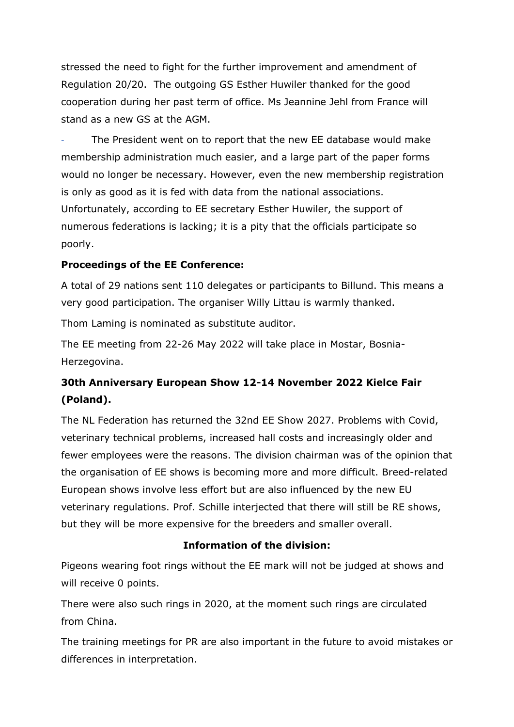stressed the need to fight for the further improvement and amendment of Regulation 20/20. The outgoing GS Esther Huwiler thanked for the good cooperation during her past term of office. Ms Jeannine Jehl from France will stand as a new GS at the AGM.

The President went on to report that the new EE database would make membership administration much easier, and a large part of the paper forms would no longer be necessary. However, even the new membership registration is only as good as it is fed with data from the national associations. Unfortunately, according to EE secretary Esther Huwiler, the support of numerous federations is lacking; it is a pity that the officials participate so poorly.

#### **Proceedings of the EE Conference:**

A total of 29 nations sent 110 delegates or participants to Billund. This means a very good participation. The organiser Willy Littau is warmly thanked.

Thom Laming is nominated as substitute auditor.

The EE meeting from 22-26 May 2022 will take place in Mostar, Bosnia-Herzegovina.

## **30th Anniversary European Show 12-14 November 2022 Kielce Fair (Poland).**

The NL Federation has returned the 32nd EE Show 2027. Problems with Covid, veterinary technical problems, increased hall costs and increasingly older and fewer employees were the reasons. The division chairman was of the opinion that the organisation of EE shows is becoming more and more difficult. Breed-related European shows involve less effort but are also influenced by the new EU veterinary regulations. Prof. Schille interjected that there will still be RE shows, but they will be more expensive for the breeders and smaller overall.

## **Information of the division:**

Pigeons wearing foot rings without the EE mark will not be judged at shows and will receive 0 points.

There were also such rings in 2020, at the moment such rings are circulated from China.

The training meetings for PR are also important in the future to avoid mistakes or differences in interpretation.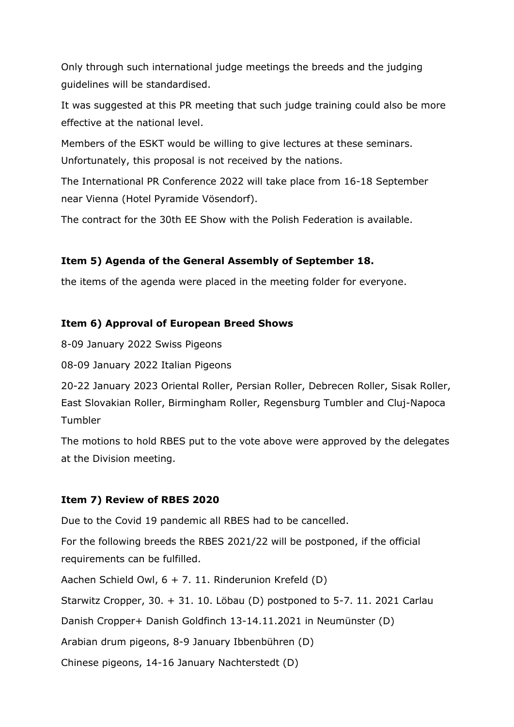Only through such international judge meetings the breeds and the judging guidelines will be standardised.

It was suggested at this PR meeting that such judge training could also be more effective at the national level.

Members of the ESKT would be willing to give lectures at these seminars. Unfortunately, this proposal is not received by the nations.

The International PR Conference 2022 will take place from 16-18 September near Vienna (Hotel Pyramide Vösendorf).

The contract for the 30th EE Show with the Polish Federation is available.

#### **Item 5) Agenda of the General Assembly of September 18.**

the items of the agenda were placed in the meeting folder for everyone.

#### **Item 6) Approval of European Breed Shows**

8-09 January 2022 Swiss Pigeons

08-09 January 2022 Italian Pigeons

20-22 January 2023 Oriental Roller, Persian Roller, Debrecen Roller, Sisak Roller, East Slovakian Roller, Birmingham Roller, Regensburg Tumbler and Cluj-Napoca Tumbler

The motions to hold RBES put to the vote above were approved by the delegates at the Division meeting.

#### **Item 7) Review of RBES 2020**

Due to the Covid 19 pandemic all RBES had to be cancelled.

For the following breeds the RBES 2021/22 will be postponed, if the official requirements can be fulfilled.

Aachen Schield Owl, 6 + 7. 11. Rinderunion Krefeld (D)

Starwitz Cropper, 30. + 31. 10. Löbau (D) postponed to 5-7. 11. 2021 Carlau

Danish Cropper+ Danish Goldfinch 13-14.11.2021 in Neumünster (D)

Arabian drum pigeons, 8-9 January Ibbenbühren (D)

Chinese pigeons, 14-16 January Nachterstedt (D)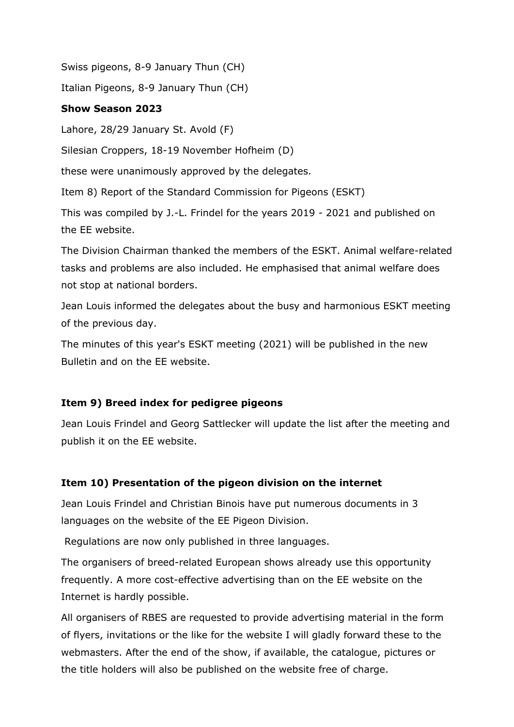Swiss pigeons, 8-9 January Thun (CH)

Italian Pigeons, 8-9 January Thun (CH)

### **Show Season 2023**

Lahore, 28/29 January St. Avold (F)

Silesian Croppers, 18-19 November Hofheim (D)

these were unanimously approved by the delegates.

Item 8) Report of the Standard Commission for Pigeons (ESKT)

This was compiled by J.-L. Frindel for the years 2019 - 2021 and published on the EE website.

The Division Chairman thanked the members of the ESKT. Animal welfare-related tasks and problems are also included. He emphasised that animal welfare does not stop at national borders.

Jean Louis informed the delegates about the busy and harmonious ESKT meeting of the previous day.

The minutes of this year's ESKT meeting (2021) will be published in the new Bulletin and on the EE website.

## **Item 9) Breed index for pedigree pigeons**

Jean Louis Frindel and Georg Sattlecker will update the list after the meeting and publish it on the EE website.

## **Item 10) Presentation of the pigeon division on the internet**

Jean Louis Frindel and Christian Binois have put numerous documents in 3 languages on the website of the EE Pigeon Division.

Regulations are now only published in three languages.

The organisers of breed-related European shows already use this opportunity frequently. A more cost-effective advertising than on the EE website on the Internet is hardly possible.

All organisers of RBES are requested to provide advertising material in the form of flyers, invitations or the like for the website I will gladly forward these to the webmasters. After the end of the show, if available, the catalogue, pictures or the title holders will also be published on the website free of charge.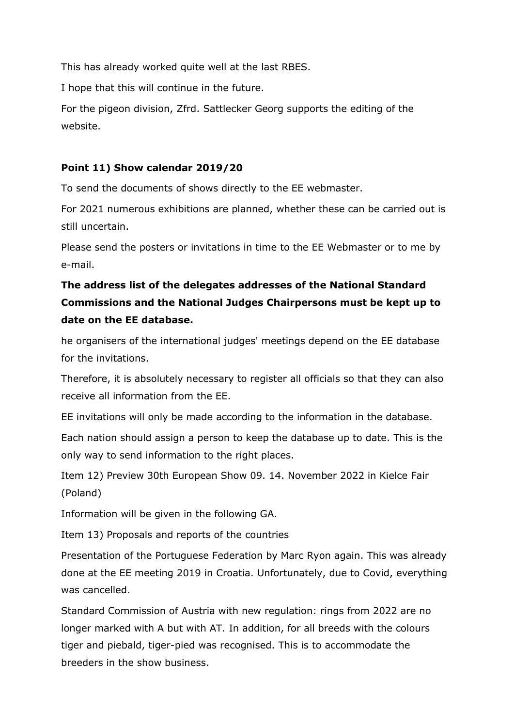This has already worked quite well at the last RBES.

I hope that this will continue in the future.

For the pigeon division, Zfrd. Sattlecker Georg supports the editing of the website.

### **Point 11) Show calendar 2019/20**

To send the documents of shows directly to the EE webmaster.

For 2021 numerous exhibitions are planned, whether these can be carried out is still uncertain.

Please send the posters or invitations in time to the EE Webmaster or to me by e-mail.

# **The address list of the delegates addresses of the National Standard Commissions and the National Judges Chairpersons must be kept up to date on the EE database.**

he organisers of the international judges' meetings depend on the EE database for the invitations.

Therefore, it is absolutely necessary to register all officials so that they can also receive all information from the EE.

EE invitations will only be made according to the information in the database.

Each nation should assign a person to keep the database up to date. This is the only way to send information to the right places.

Item 12) Preview 30th European Show 09. 14. November 2022 in Kielce Fair (Poland)

Information will be given in the following GA.

Item 13) Proposals and reports of the countries

Presentation of the Portuguese Federation by Marc Ryon again. This was already done at the EE meeting 2019 in Croatia. Unfortunately, due to Covid, everything was cancelled.

Standard Commission of Austria with new regulation: rings from 2022 are no longer marked with A but with AT. In addition, for all breeds with the colours tiger and piebald, tiger-pied was recognised. This is to accommodate the breeders in the show business.